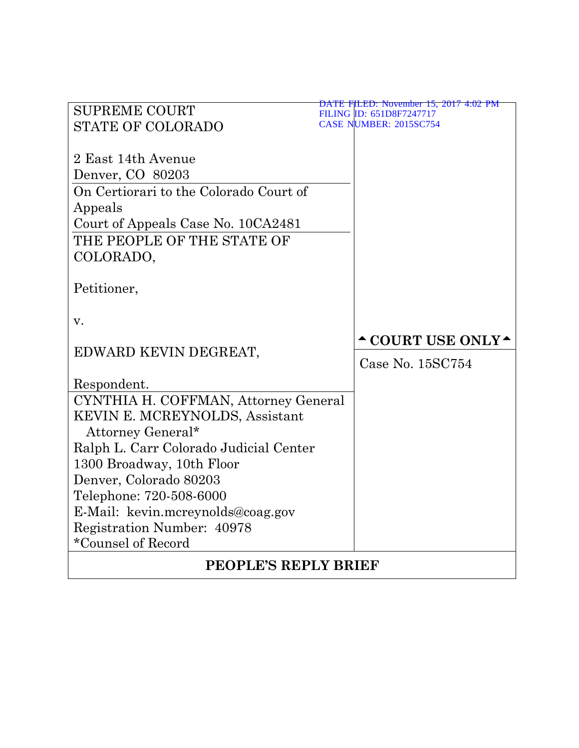| <b>SUPREME COURT</b>                             | DATE FILED: November 15, 2017 4:02 PM<br>FILING ID: 651D8F7247717 |  |  |  |
|--------------------------------------------------|-------------------------------------------------------------------|--|--|--|
| <b>STATE OF COLORADO</b>                         | CASE NUMBER: 2015SC754                                            |  |  |  |
|                                                  |                                                                   |  |  |  |
| 2 East 14th Avenue                               |                                                                   |  |  |  |
| Denver, CO 80203                                 |                                                                   |  |  |  |
| On Certiorari to the Colorado Court of           |                                                                   |  |  |  |
| Appeals                                          |                                                                   |  |  |  |
| Court of Appeals Case No. 10CA2481               |                                                                   |  |  |  |
| THE PEOPLE OF THE STATE OF                       |                                                                   |  |  |  |
| COLORADO,                                        |                                                                   |  |  |  |
|                                                  |                                                                   |  |  |  |
| Petitioner,                                      |                                                                   |  |  |  |
|                                                  |                                                                   |  |  |  |
| v.                                               |                                                                   |  |  |  |
|                                                  | <b>^COURT USE ONLY^</b>                                           |  |  |  |
| EDWARD KEVIN DEGREAT,                            | Case No. 15SC754                                                  |  |  |  |
|                                                  |                                                                   |  |  |  |
| Respondent.                                      |                                                                   |  |  |  |
| CYNTHIA H. COFFMAN, Attorney General             |                                                                   |  |  |  |
| KEVIN E. MCREYNOLDS, Assistant                   |                                                                   |  |  |  |
| Attorney General*                                |                                                                   |  |  |  |
| Ralph L. Carr Colorado Judicial Center           |                                                                   |  |  |  |
| 1300 Broadway, 10th Floor                        |                                                                   |  |  |  |
| Denver, Colorado 80203                           |                                                                   |  |  |  |
| Telephone: 720-508-6000                          |                                                                   |  |  |  |
| E-Mail: kevin.mcreynolds@coag.gov                |                                                                   |  |  |  |
| Registration Number: 40978<br>*Counsel of Record |                                                                   |  |  |  |
|                                                  |                                                                   |  |  |  |
| <b>PEOPLE'S REPLY BRIEF</b>                      |                                                                   |  |  |  |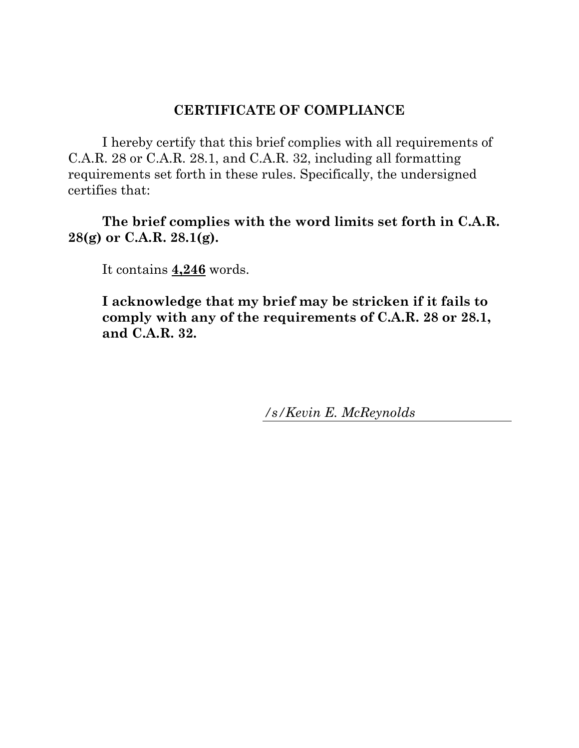### **CERTIFICATE OF COMPLIANCE**

I hereby certify that this brief complies with all requirements of C.A.R. 28 or C.A.R. 28.1, and C.A.R. 32, including all formatting requirements set forth in these rules. Specifically, the undersigned certifies that:

**The brief complies with the word limits set forth in C.A.R. 28(g) or C.A.R. 28.1(g).**

It contains **4,246** words.

**I acknowledge that my brief may be stricken if it fails to comply with any of the requirements of C.A.R. 28 or 28.1, and C.A.R. 32.**

*/s/Kevin E. McReynolds*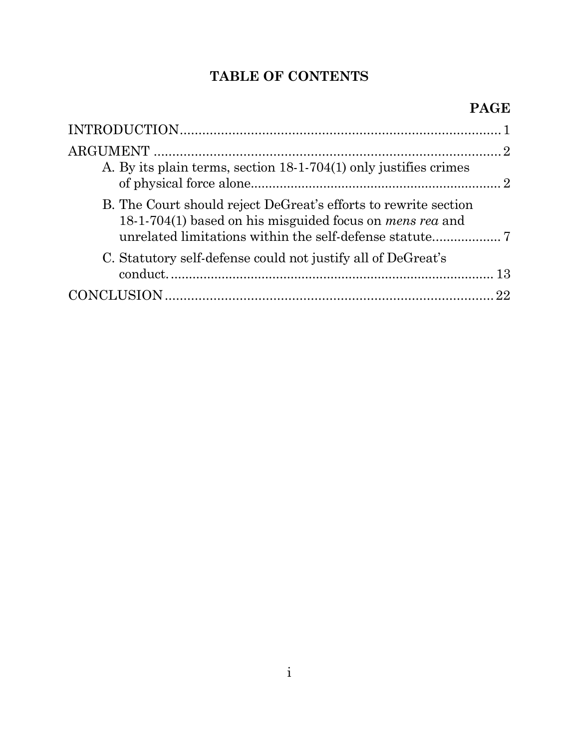## **TABLE OF CONTENTS**

| A. By its plain terms, section 18-1-704(1) only justifies crimes                                                                   |  |
|------------------------------------------------------------------------------------------------------------------------------------|--|
| B. The Court should reject DeGreat's efforts to rewrite section<br>18-1-704(1) based on his misguided focus on <i>mens rea</i> and |  |
| C. Statutory self-defense could not justify all of DeGreat's                                                                       |  |
|                                                                                                                                    |  |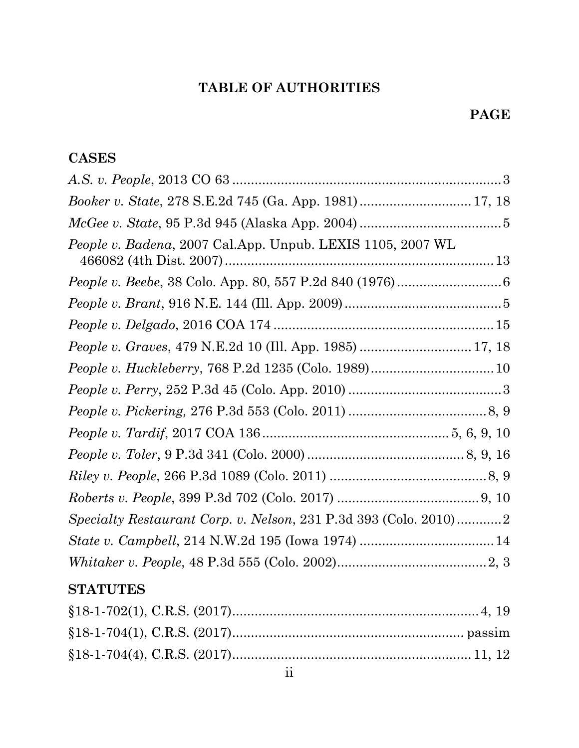# **TABLE OF AUTHORITIES**

## **PAGE**

## **CASES**

| People v. Badena, 2007 Cal.App. Unpub. LEXIS 1105, 2007 WL       |  |
|------------------------------------------------------------------|--|
| <i>People v. Beebe, 38 Colo. App. 80, 557 P.2d 840 (1976)</i> 6  |  |
|                                                                  |  |
|                                                                  |  |
| People v. Graves, 479 N.E.2d 10 (Ill. App. 1985)  17, 18         |  |
|                                                                  |  |
|                                                                  |  |
|                                                                  |  |
|                                                                  |  |
|                                                                  |  |
|                                                                  |  |
|                                                                  |  |
| Specialty Restaurant Corp. v. Nelson, 231 P.3d 393 (Colo. 2010)2 |  |
|                                                                  |  |
| $\it Whitaker\ v.\ People,\ 48\ P.3d\ 555\ (Colo.\ 2002)2, 3$    |  |

## **STATUTES**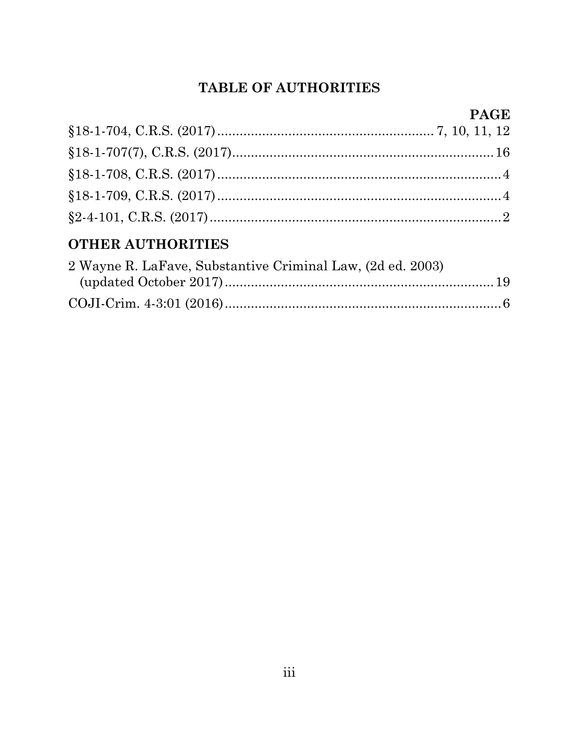## **TABLE OF AUTHORITIES**

# **PAGE**

## **OTHER AUTHORITIES**

| 2 Wayne R. LaFave, Substantive Criminal Law, (2d ed. 2003) |  |
|------------------------------------------------------------|--|
|                                                            |  |
|                                                            |  |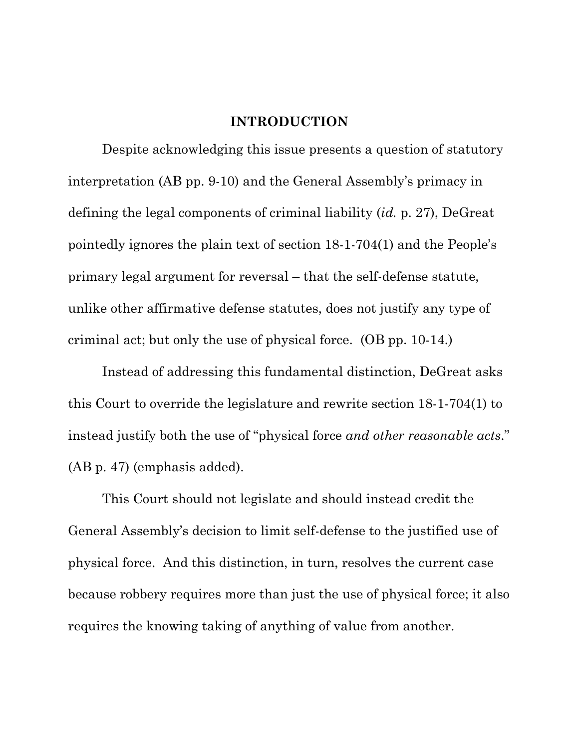#### **INTRODUCTION**

<span id="page-5-0"></span>Despite acknowledging this issue presents a question of statutory interpretation (AB pp. 9-10) and the General Assembly's primacy in defining the legal components of criminal liability (*id.* p. 27), DeGreat pointedly ignores the plain text of section 18-1-704(1) and the People's primary legal argument for reversal – that the self-defense statute, unlike other affirmative defense statutes, does not justify any type of criminal act; but only the use of physical force. (OB pp. 10-14.)

Instead of addressing this fundamental distinction, DeGreat asks this Court to override the legislature and rewrite section 18-1-704(1) to instead justify both the use of "physical force *and other reasonable acts*." (AB p. 47) (emphasis added).

This Court should not legislate and should instead credit the General Assembly's decision to limit self-defense to the justified use of physical force. And this distinction, in turn, resolves the current case because robbery requires more than just the use of physical force; it also requires the knowing taking of anything of value from another.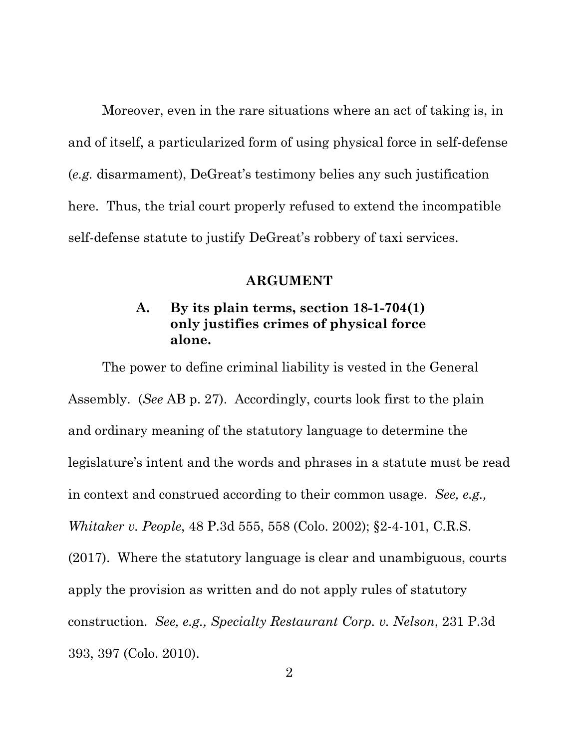Moreover, even in the rare situations where an act of taking is, in and of itself, a particularized form of using physical force in self-defense (*e.g.* disarmament), DeGreat's testimony belies any such justification here. Thus, the trial court properly refused to extend the incompatible self-defense statute to justify DeGreat's robbery of taxi services.

#### **ARGUMENT**

## <span id="page-6-0"></span>**A. By its plain terms, section 18-1-704(1) only justifies crimes of physical force alone.**

<span id="page-6-1"></span>The power to define criminal liability is vested in the General Assembly. (*See* AB p. 27). Accordingly, courts look first to the plain and ordinary meaning of the statutory language to determine the legislature's intent and the words and phrases in a statute must be read in context and construed according to their common usage. *See, e.g., Whitaker v. People*, 48 P.3d 555, 558 (Colo. 2002); §2-4-101, C.R.S. (2017). Where the statutory language is clear and unambiguous, courts apply the provision as written and do not apply rules of statutory construction. *See, e.g., Specialty Restaurant Corp. v. Nelson*, 231 P.3d 393, 397 (Colo. 2010).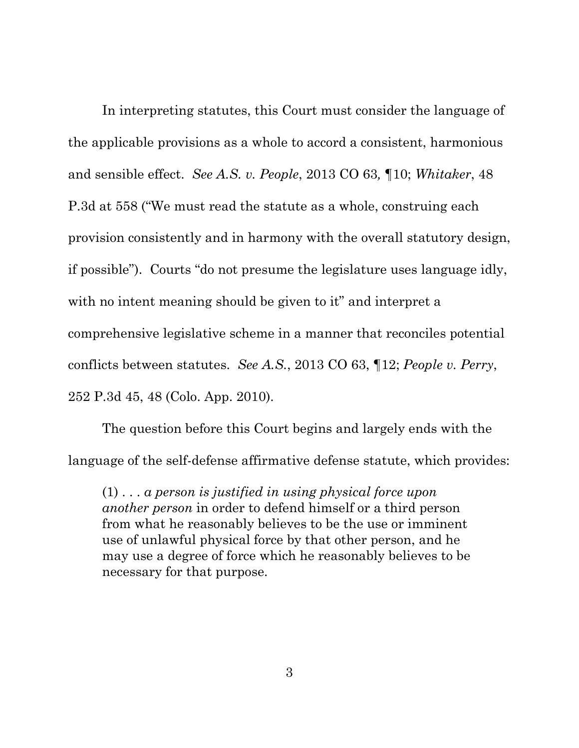In interpreting statutes, this Court must consider the language of the applicable provisions as a whole to accord a consistent, harmonious and sensible effect. *See A.S. v. People*, 2013 CO 63*,* ¶10; *Whitaker*, 48 P.3d at 558 ("We must read the statute as a whole, construing each provision consistently and in harmony with the overall statutory design, if possible"). Courts "do not presume the legislature uses language idly, with no intent meaning should be given to it" and interpret a comprehensive legislative scheme in a manner that reconciles potential conflicts between statutes. *See A.S.*, 2013 CO 63, ¶12; *People v. Perry*, 252 P.3d 45, 48 (Colo. App. 2010).

The question before this Court begins and largely ends with the language of the self-defense affirmative defense statute, which provides:

(1) . . . *a person is justified in using physical force upon another person* in order to defend himself or a third person from what he reasonably believes to be the use or imminent use of unlawful physical force by that other person, and he may use a degree of force which he reasonably believes to be necessary for that purpose.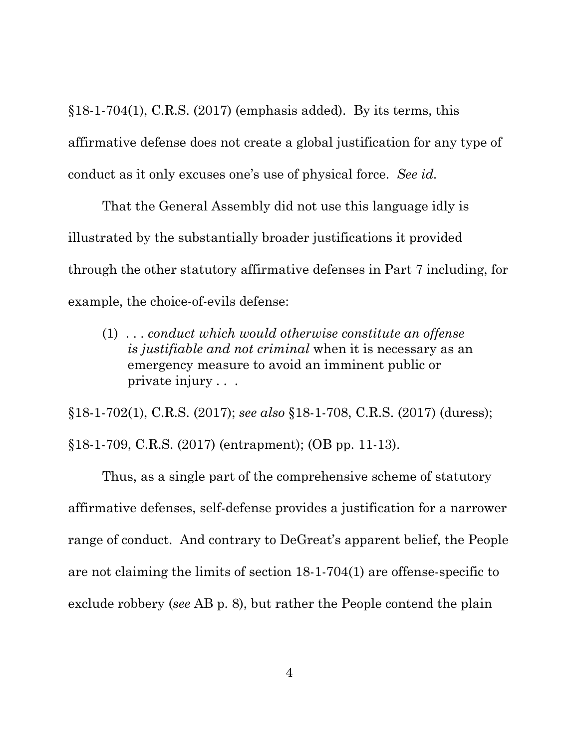$§18-1-704(1)$ , C.R.S. (2017) (emphasis added). By its terms, this affirmative defense does not create a global justification for any type of conduct as it only excuses one's use of physical force. *See id.*

That the General Assembly did not use this language idly is illustrated by the substantially broader justifications it provided through the other statutory affirmative defenses in Part 7 including, for example, the choice-of-evils defense:

(1) . . . *conduct which would otherwise constitute an offense is justifiable and not criminal* when it is necessary as an emergency measure to avoid an imminent public or private injury . . .

§18-1-702(1), C.R.S. (2017); *see also* §18-1-708, C.R.S. (2017) (duress); §18-1-709, C.R.S. (2017) (entrapment); (OB pp. 11-13).

Thus, as a single part of the comprehensive scheme of statutory affirmative defenses, self-defense provides a justification for a narrower range of conduct. And contrary to DeGreat's apparent belief, the People are not claiming the limits of section 18-1-704(1) are offense-specific to exclude robbery (*see* AB p. 8), but rather the People contend the plain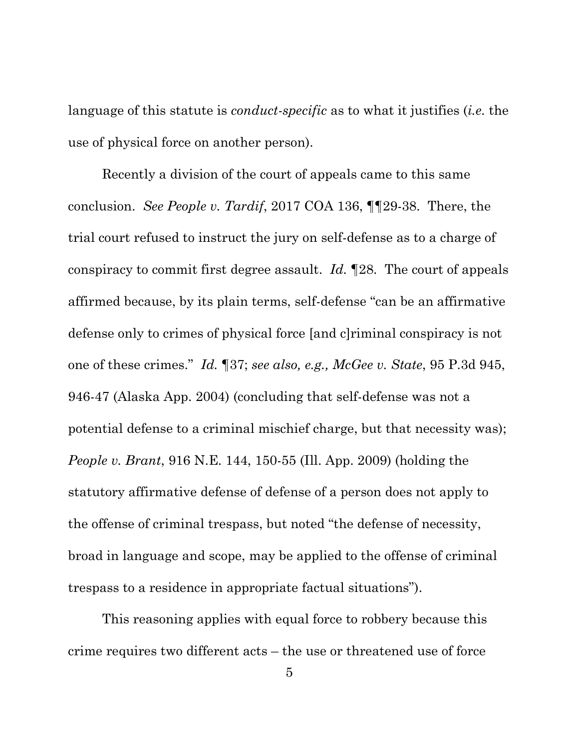language of this statute is *conduct-specific* as to what it justifies (*i.e.* the use of physical force on another person).

Recently a division of the court of appeals came to this same conclusion. *See People v. Tardif*, 2017 COA 136, ¶¶29-38. There, the trial court refused to instruct the jury on self-defense as to a charge of conspiracy to commit first degree assault. *Id.* ¶28. The court of appeals affirmed because, by its plain terms, self-defense "can be an affirmative defense only to crimes of physical force [and c]riminal conspiracy is not one of these crimes." *Id.* ¶37; *see also, e.g., McGee v. State*, 95 P.3d 945, 946-47 (Alaska App. 2004) (concluding that self-defense was not a potential defense to a criminal mischief charge, but that necessity was); *People v. Brant*, 916 N.E. 144, 150-55 (Ill. App. 2009) (holding the statutory affirmative defense of defense of a person does not apply to the offense of criminal trespass, but noted "the defense of necessity, broad in language and scope, may be applied to the offense of criminal trespass to a residence in appropriate factual situations").

This reasoning applies with equal force to robbery because this crime requires two different acts – the use or threatened use of force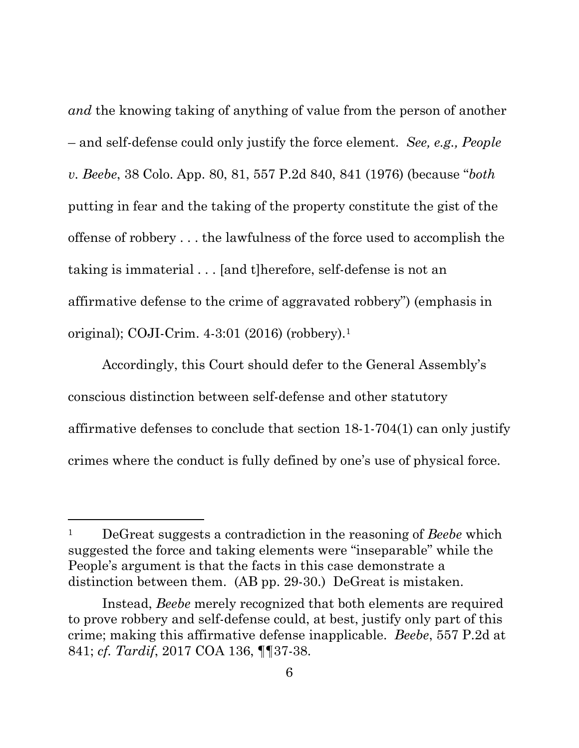*and* the knowing taking of anything of value from the person of another – and self-defense could only justify the force element. *See, e.g., People v. Beebe*, 38 Colo. App. 80, 81, 557 P.2d 840, 841 (1976) (because "*both*  putting in fear and the taking of the property constitute the gist of the offense of robbery . . . the lawfulness of the force used to accomplish the taking is immaterial . . . [and t]herefore, self-defense is not an affirmative defense to the crime of aggravated robbery") (emphasis in original); COJI-Crim. 4-3:01 (2016) (robbery).[1](#page-10-0)

Accordingly, this Court should defer to the General Assembly's conscious distinction between self-defense and other statutory affirmative defenses to conclude that section 18-1-704(1) can only justify crimes where the conduct is fully defined by one's use of physical force.

<span id="page-10-0"></span><sup>1</sup> DeGreat suggests a contradiction in the reasoning of *Beebe* which suggested the force and taking elements were "inseparable" while the People's argument is that the facts in this case demonstrate a distinction between them. (AB pp. 29-30.) DeGreat is mistaken.

Instead, *Beebe* merely recognized that both elements are required to prove robbery and self-defense could, at best, justify only part of this crime; making this affirmative defense inapplicable. *Beebe*, 557 P.2d at 841; *cf. Tardif*, 2017 COA 136, ¶¶37-38.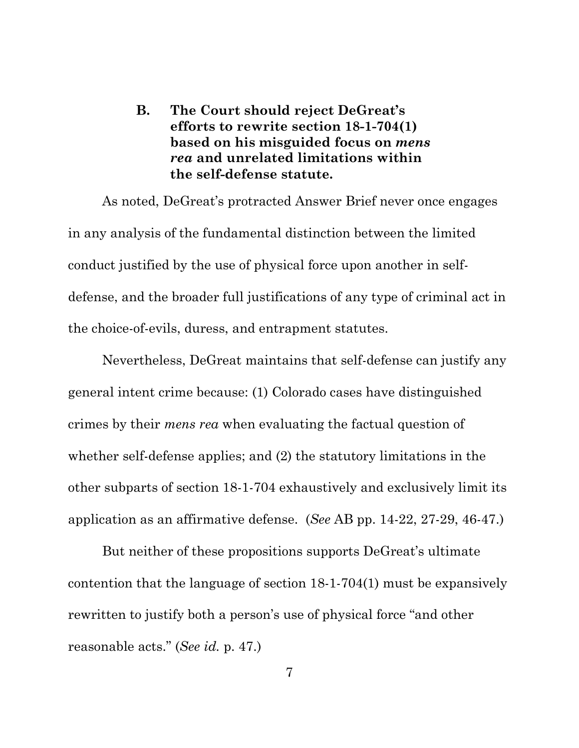<span id="page-11-0"></span>**B. The Court should reject DeGreat's efforts to rewrite section 18-1-704(1) based on his misguided focus on** *mens rea* **and unrelated limitations within the self-defense statute.** 

As noted, DeGreat's protracted Answer Brief never once engages in any analysis of the fundamental distinction between the limited conduct justified by the use of physical force upon another in selfdefense, and the broader full justifications of any type of criminal act in the choice-of-evils, duress, and entrapment statutes.

Nevertheless, DeGreat maintains that self-defense can justify any general intent crime because: (1) Colorado cases have distinguished crimes by their *mens rea* when evaluating the factual question of whether self-defense applies; and (2) the statutory limitations in the other subparts of section 18-1-704 exhaustively and exclusively limit its application as an affirmative defense. (*See* AB pp. 14-22, 27-29, 46-47.)

But neither of these propositions supports DeGreat's ultimate contention that the language of section 18-1-704(1) must be expansively rewritten to justify both a person's use of physical force "and other reasonable acts." (*See id.* p. 47.)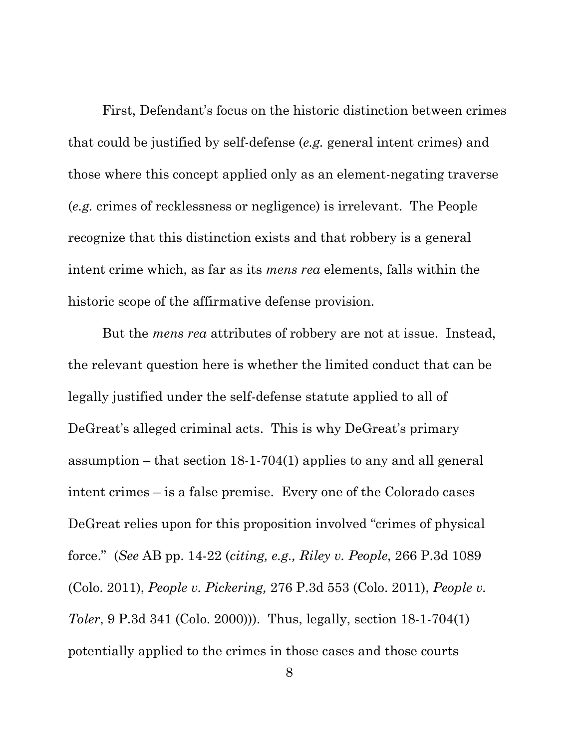First, Defendant's focus on the historic distinction between crimes that could be justified by self-defense (*e.g.* general intent crimes) and those where this concept applied only as an element-negating traverse (*e.g.* crimes of recklessness or negligence) is irrelevant. The People recognize that this distinction exists and that robbery is a general intent crime which, as far as its *mens rea* elements, falls within the historic scope of the affirmative defense provision.

But the *mens rea* attributes of robbery are not at issue. Instead, the relevant question here is whether the limited conduct that can be legally justified under the self-defense statute applied to all of DeGreat's alleged criminal acts. This is why DeGreat's primary assumption – that section 18-1-704(1) applies to any and all general intent crimes – is a false premise. Every one of the Colorado cases DeGreat relies upon for this proposition involved "crimes of physical force." (*See* AB pp. 14-22 (*citing, e.g., Riley v. People*, 266 P.3d 1089 (Colo. 2011), *People v. Pickering,* 276 P.3d 553 (Colo. 2011), *People v. Toler*, 9 P.3d 341 (Colo. 2000))). Thus, legally, section 18-1-704(1) potentially applied to the crimes in those cases and those courts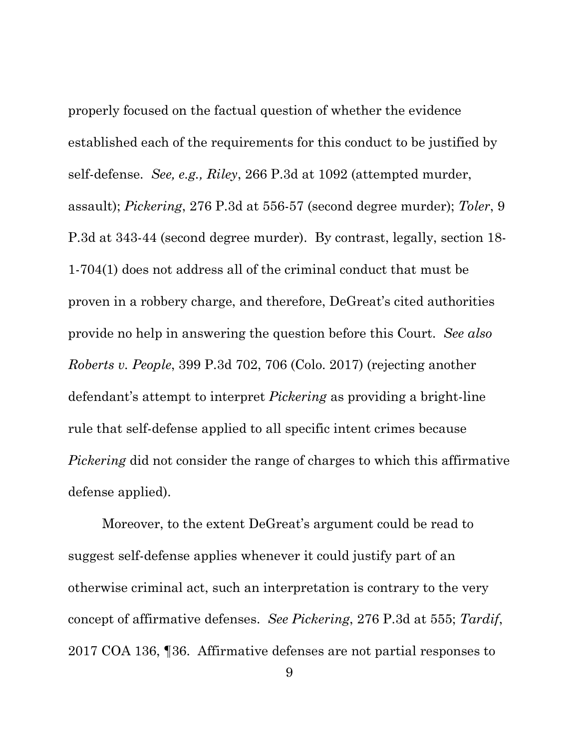properly focused on the factual question of whether the evidence established each of the requirements for this conduct to be justified by self-defense. *See, e.g., Riley*, 266 P.3d at 1092 (attempted murder, assault); *Pickering*, 276 P.3d at 556-57 (second degree murder); *Toler*, 9 P.3d at 343-44 (second degree murder). By contrast, legally, section 18- 1-704(1) does not address all of the criminal conduct that must be proven in a robbery charge, and therefore, DeGreat's cited authorities provide no help in answering the question before this Court. *See also Roberts v. People*, 399 P.3d 702, 706 (Colo. 2017) (rejecting another defendant's attempt to interpret *Pickering* as providing a bright-line rule that self-defense applied to all specific intent crimes because *Pickering* did not consider the range of charges to which this affirmative defense applied).

Moreover, to the extent DeGreat's argument could be read to suggest self-defense applies whenever it could justify part of an otherwise criminal act, such an interpretation is contrary to the very concept of affirmative defenses. *See Pickering*, 276 P.3d at 555; *Tardif*, 2017 COA 136, ¶36. Affirmative defenses are not partial responses to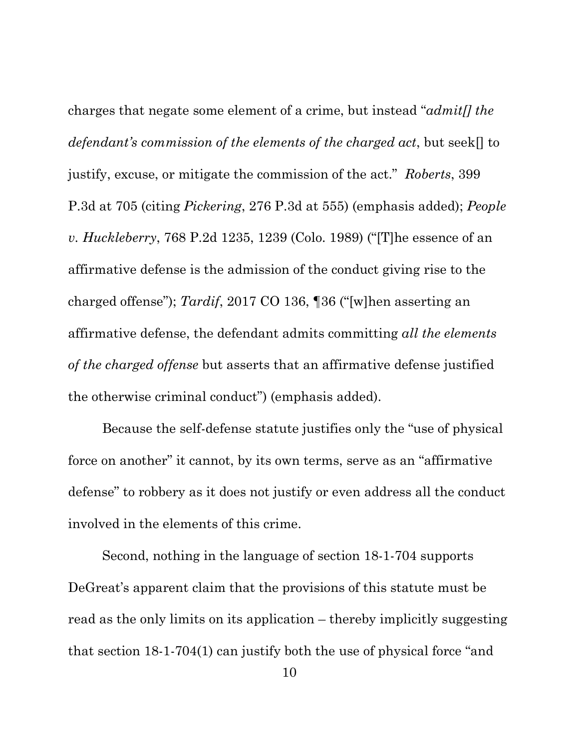charges that negate some element of a crime, but instead "*admit[] the defendant's commission of the elements of the charged act*, but seek[] to justify, excuse, or mitigate the commission of the act." *Roberts*, 399 P.3d at 705 (citing *Pickering*, 276 P.3d at 555) (emphasis added); *People v. Huckleberry*, 768 P.2d 1235, 1239 (Colo. 1989) ("[T]he essence of an affirmative defense is the admission of the conduct giving rise to the charged offense"); *Tardif*, 2017 CO 136, ¶36 ("[w]hen asserting an affirmative defense, the defendant admits committing *all the elements of the charged offense* but asserts that an affirmative defense justified the otherwise criminal conduct") (emphasis added).

Because the self-defense statute justifies only the "use of physical force on another" it cannot, by its own terms, serve as an "affirmative defense" to robbery as it does not justify or even address all the conduct involved in the elements of this crime.

Second, nothing in the language of section 18-1-704 supports DeGreat's apparent claim that the provisions of this statute must be read as the only limits on its application – thereby implicitly suggesting that section 18-1-704(1) can justify both the use of physical force "and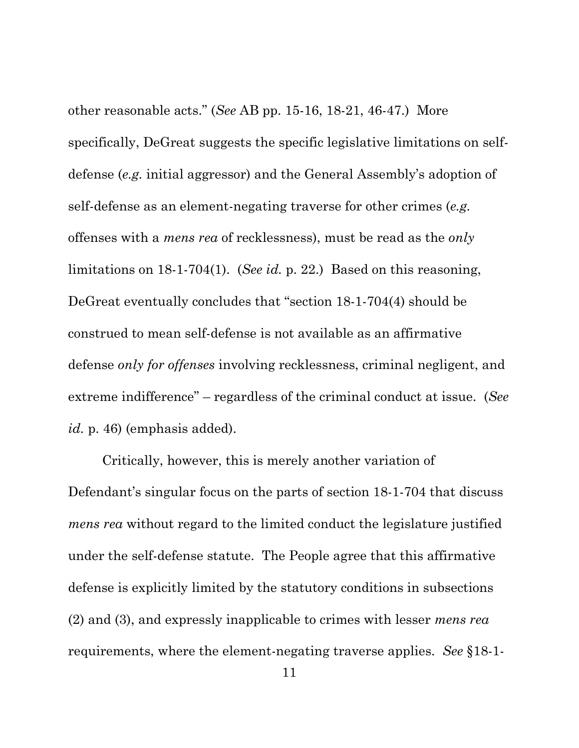other reasonable acts." (*See* AB pp. 15-16, 18-21, 46-47.) More specifically, DeGreat suggests the specific legislative limitations on selfdefense (*e.g.* initial aggressor) and the General Assembly's adoption of self-defense as an element-negating traverse for other crimes (*e.g.*  offenses with a *mens rea* of recklessness), must be read as the *only*  limitations on 18-1-704(1). (*See id.* p. 22.) Based on this reasoning, DeGreat eventually concludes that "section 18-1-704(4) should be construed to mean self-defense is not available as an affirmative defense *only for offenses* involving recklessness, criminal negligent, and extreme indifference" – regardless of the criminal conduct at issue. (*See id.* p. 46) (emphasis added).

Critically, however, this is merely another variation of Defendant's singular focus on the parts of section 18-1-704 that discuss *mens rea* without regard to the limited conduct the legislature justified under the self-defense statute. The People agree that this affirmative defense is explicitly limited by the statutory conditions in subsections (2) and (3), and expressly inapplicable to crimes with lesser *mens rea* requirements, where the element-negating traverse applies. *See* §18-1-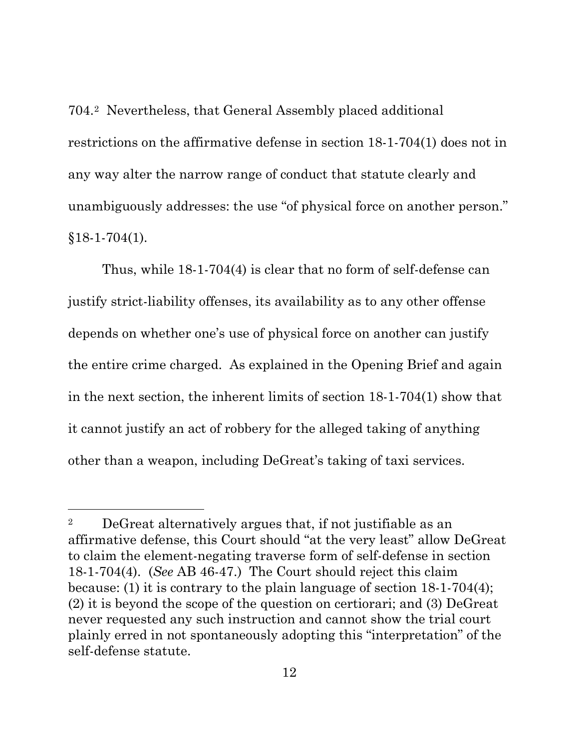704.[2](#page-16-0) Nevertheless, that General Assembly placed additional restrictions on the affirmative defense in section 18-1-704(1) does not in any way alter the narrow range of conduct that statute clearly and unambiguously addresses: the use "of physical force on another person."  $§18-1-704(1).$ 

Thus, while 18-1-704(4) is clear that no form of self-defense can justify strict-liability offenses, its availability as to any other offense depends on whether one's use of physical force on another can justify the entire crime charged. As explained in the Opening Brief and again in the next section, the inherent limits of section 18-1-704(1) show that it cannot justify an act of robbery for the alleged taking of anything other than a weapon, including DeGreat's taking of taxi services.

<span id="page-16-0"></span><sup>2</sup> DeGreat alternatively argues that, if not justifiable as an affirmative defense, this Court should "at the very least" allow DeGreat to claim the element-negating traverse form of self-defense in section 18-1-704(4). (*See* AB 46-47.) The Court should reject this claim because: (1) it is contrary to the plain language of section 18-1-704(4); (2) it is beyond the scope of the question on certiorari; and (3) DeGreat never requested any such instruction and cannot show the trial court plainly erred in not spontaneously adopting this "interpretation" of the self-defense statute.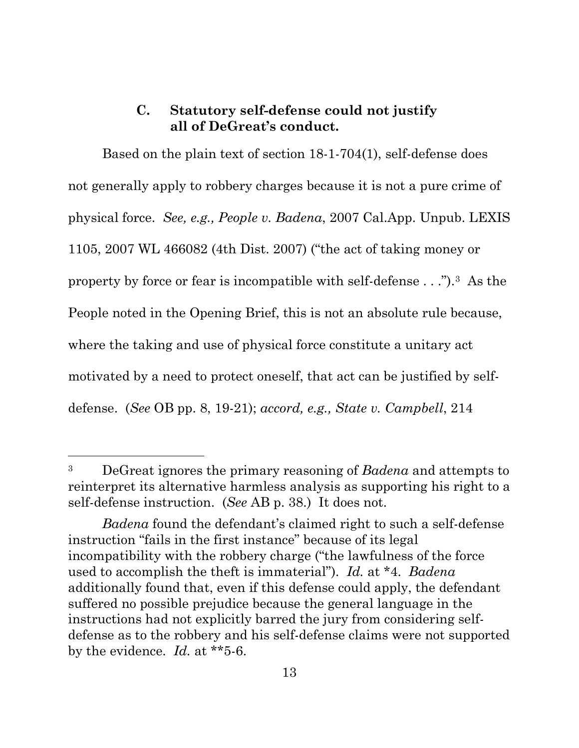## **C. Statutory self-defense could not justify all of DeGreat's conduct.**

<span id="page-17-0"></span>Based on the plain text of section 18-1-704(1), self-defense does not generally apply to robbery charges because it is not a pure crime of physical force. *See, e.g., People v. Badena*, 2007 Cal.App. Unpub. LEXIS 1105, 2007 WL 466082 (4th Dist. 2007) ("the act of taking money or property by force or fear is incompatible with self-defense . . .").[3](#page-17-1) As the People noted in the Opening Brief, this is not an absolute rule because, where the taking and use of physical force constitute a unitary act motivated by a need to protect oneself, that act can be justified by selfdefense. (*See* OB pp. 8, 19-21); *accord, e.g., State v. Campbell*, 214

l

<span id="page-17-1"></span><sup>3</sup> DeGreat ignores the primary reasoning of *Badena* and attempts to reinterpret its alternative harmless analysis as supporting his right to a self-defense instruction. (*See* AB p. 38.) It does not.

*Badena* found the defendant's claimed right to such a self-defense instruction "fails in the first instance" because of its legal incompatibility with the robbery charge ("the lawfulness of the force used to accomplish the theft is immaterial"). *Id.* at \*4. *Badena*  additionally found that, even if this defense could apply, the defendant suffered no possible prejudice because the general language in the instructions had not explicitly barred the jury from considering selfdefense as to the robbery and his self-defense claims were not supported by the evidence. *Id.* at \*\*5-6.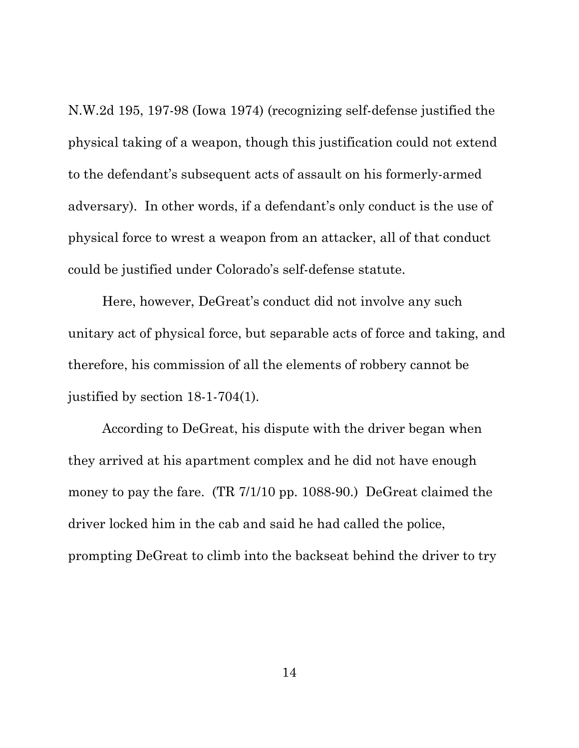N.W.2d 195, 197-98 (Iowa 1974) (recognizing self-defense justified the physical taking of a weapon, though this justification could not extend to the defendant's subsequent acts of assault on his formerly-armed adversary). In other words, if a defendant's only conduct is the use of physical force to wrest a weapon from an attacker, all of that conduct could be justified under Colorado's self-defense statute.

Here, however, DeGreat's conduct did not involve any such unitary act of physical force, but separable acts of force and taking, and therefore, his commission of all the elements of robbery cannot be justified by section 18-1-704(1).

According to DeGreat, his dispute with the driver began when they arrived at his apartment complex and he did not have enough money to pay the fare. (TR 7/1/10 pp. 1088-90.) DeGreat claimed the driver locked him in the cab and said he had called the police, prompting DeGreat to climb into the backseat behind the driver to try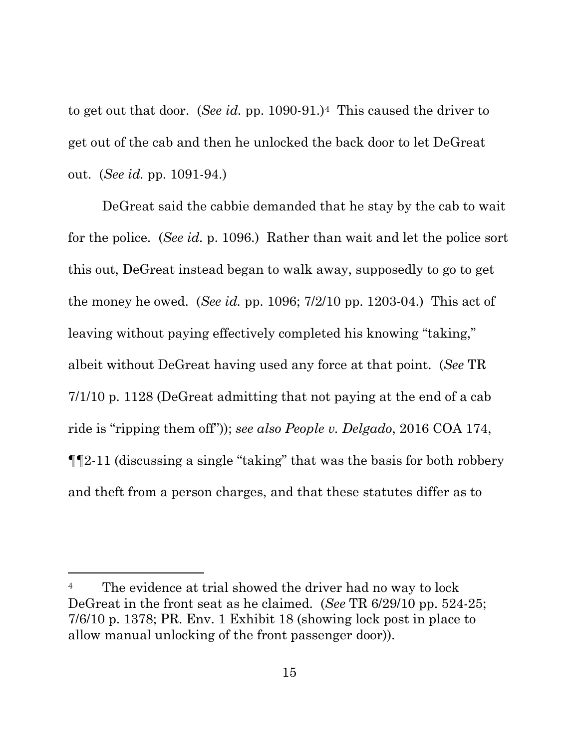to get out that door. (*See id.* pp. 1090-91.)[4](#page-19-0) This caused the driver to get out of the cab and then he unlocked the back door to let DeGreat out. (*See id.* pp. 1091-94.)

DeGreat said the cabbie demanded that he stay by the cab to wait for the police. (*See id.* p. 1096.) Rather than wait and let the police sort this out, DeGreat instead began to walk away, supposedly to go to get the money he owed. (*See id.* pp. 1096; 7/2/10 pp. 1203-04.) This act of leaving without paying effectively completed his knowing "taking," albeit without DeGreat having used any force at that point. (*See* TR 7/1/10 p. 1128 (DeGreat admitting that not paying at the end of a cab ride is "ripping them off")); *see also People v. Delgado*, 2016 COA 174, ¶¶2-11 (discussing a single "taking" that was the basis for both robbery and theft from a person charges, and that these statutes differ as to

<span id="page-19-0"></span><sup>&</sup>lt;sup>4</sup> The evidence at trial showed the driver had no way to lock DeGreat in the front seat as he claimed. (*See* TR 6/29/10 pp. 524-25; 7/6/10 p. 1378; PR. Env. 1 Exhibit 18 (showing lock post in place to allow manual unlocking of the front passenger door)).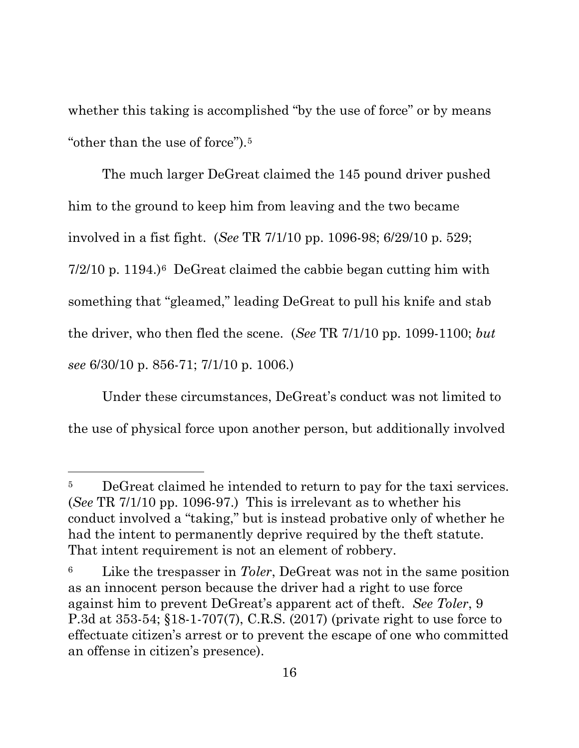whether this taking is accomplished "by the use of force" or by means "other than the use of force").[5](#page-20-0)

The much larger DeGreat claimed the 145 pound driver pushed him to the ground to keep him from leaving and the two became involved in a fist fight. (*See* TR 7/1/10 pp. 1096-98; 6/29/10 p. 529; 7/2/10 p. 1194.)[6](#page-20-1) DeGreat claimed the cabbie began cutting him with something that "gleamed," leading DeGreat to pull his knife and stab the driver, who then fled the scene. (*See* TR 7/1/10 pp. 1099-1100; *but see* 6/30/10 p. 856-71; 7/1/10 p. 1006.)

Under these circumstances, DeGreat's conduct was not limited to the use of physical force upon another person, but additionally involved

<span id="page-20-0"></span><sup>&</sup>lt;sup>5</sup> DeGreat claimed he intended to return to pay for the taxi services. (*See* TR 7/1/10 pp. 1096-97.) This is irrelevant as to whether his conduct involved a "taking," but is instead probative only of whether he had the intent to permanently deprive required by the theft statute. That intent requirement is not an element of robbery.

<span id="page-20-1"></span><sup>6</sup> Like the trespasser in *Toler*, DeGreat was not in the same position as an innocent person because the driver had a right to use force against him to prevent DeGreat's apparent act of theft. *See Toler*, 9 P.3d at 353-54; §18-1-707(7), C.R.S. (2017) (private right to use force to effectuate citizen's arrest or to prevent the escape of one who committed an offense in citizen's presence).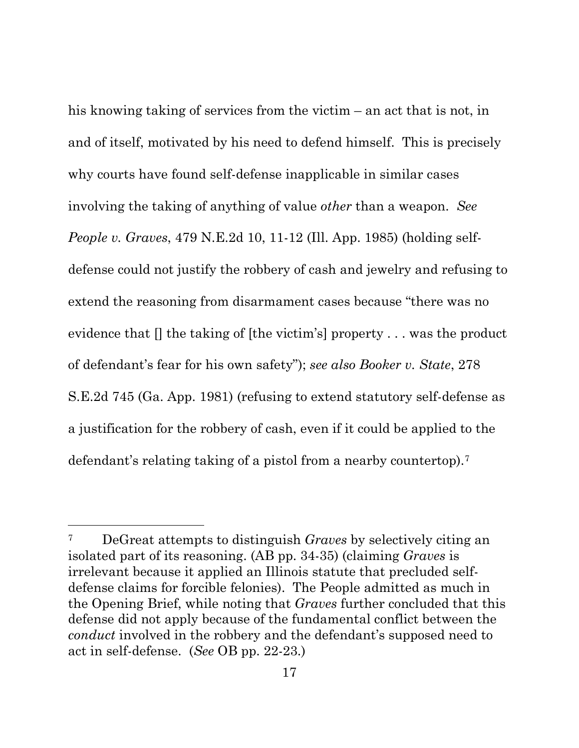his knowing taking of services from the victim – an act that is not, in and of itself, motivated by his need to defend himself. This is precisely why courts have found self-defense inapplicable in similar cases involving the taking of anything of value *other* than a weapon. *See People v. Graves*, 479 N.E.2d 10, 11-12 (Ill. App. 1985) (holding selfdefense could not justify the robbery of cash and jewelry and refusing to extend the reasoning from disarmament cases because "there was no evidence that [] the taking of [the victim's] property . . . was the product of defendant's fear for his own safety"); *see also Booker v. State*, 278 S.E.2d 745 (Ga. App. 1981) (refusing to extend statutory self-defense as a justification for the robbery of cash, even if it could be applied to the defendant's relating taking of a pistol from a nearby countertop).[7](#page-21-0)

<span id="page-21-0"></span><sup>7</sup> DeGreat attempts to distinguish *Graves* by selectively citing an isolated part of its reasoning. (AB pp. 34-35) (claiming *Graves* is irrelevant because it applied an Illinois statute that precluded selfdefense claims for forcible felonies). The People admitted as much in the Opening Brief, while noting that *Graves* further concluded that this defense did not apply because of the fundamental conflict between the *conduct* involved in the robbery and the defendant's supposed need to act in self-defense. (*See* OB pp. 22-23.)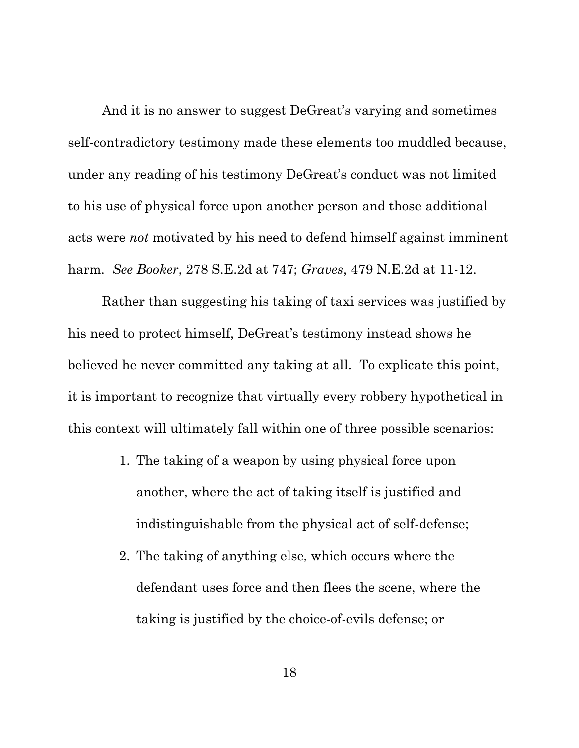And it is no answer to suggest DeGreat's varying and sometimes self-contradictory testimony made these elements too muddled because, under any reading of his testimony DeGreat's conduct was not limited to his use of physical force upon another person and those additional acts were *not* motivated by his need to defend himself against imminent harm. *See Booker*, 278 S.E.2d at 747; *Graves*, 479 N.E.2d at 11-12.

Rather than suggesting his taking of taxi services was justified by his need to protect himself, DeGreat's testimony instead shows he believed he never committed any taking at all. To explicate this point, it is important to recognize that virtually every robbery hypothetical in this context will ultimately fall within one of three possible scenarios:

- 1. The taking of a weapon by using physical force upon another, where the act of taking itself is justified and indistinguishable from the physical act of self-defense;
- 2. The taking of anything else, which occurs where the defendant uses force and then flees the scene, where the taking is justified by the choice-of-evils defense; or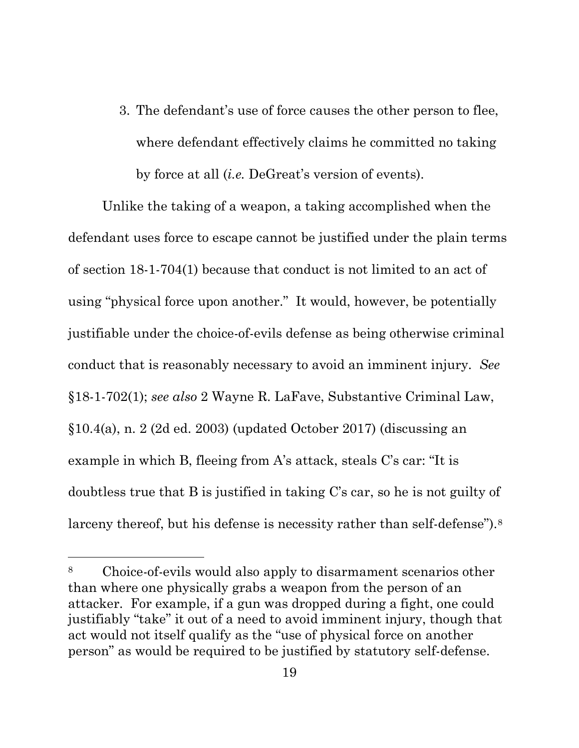3. The defendant's use of force causes the other person to flee, where defendant effectively claims he committed no taking by force at all (*i.e.* DeGreat's version of events).

Unlike the taking of a weapon, a taking accomplished when the defendant uses force to escape cannot be justified under the plain terms of section 18-1-704(1) because that conduct is not limited to an act of using "physical force upon another." It would, however, be potentially justifiable under the choice-of-evils defense as being otherwise criminal conduct that is reasonably necessary to avoid an imminent injury. *See*  §18-1-702(1); *see also* 2 Wayne R. LaFave, Substantive Criminal Law,  $§10.4(a)$ , n. 2 (2d ed. 2003) (updated October 2017) (discussing an example in which B, fleeing from A's attack, steals C's car: "It is doubtless true that B is justified in taking C's car, so he is not guilty of larceny thereof, but his defense is necessity rather than self-defense").<sup>8</sup>

<span id="page-23-0"></span><sup>8</sup> Choice-of-evils would also apply to disarmament scenarios other than where one physically grabs a weapon from the person of an attacker. For example, if a gun was dropped during a fight, one could justifiably "take" it out of a need to avoid imminent injury, though that act would not itself qualify as the "use of physical force on another person" as would be required to be justified by statutory self-defense.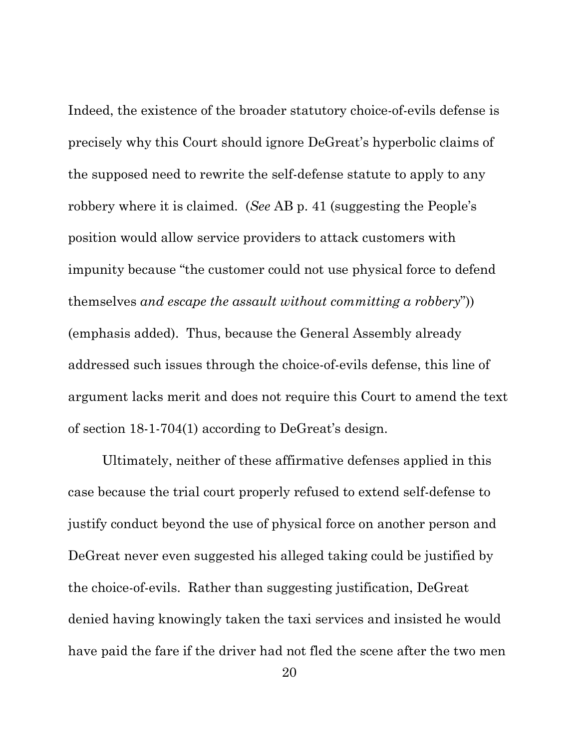Indeed, the existence of the broader statutory choice-of-evils defense is precisely why this Court should ignore DeGreat's hyperbolic claims of the supposed need to rewrite the self-defense statute to apply to any robbery where it is claimed. (*See* AB p. 41 (suggesting the People's position would allow service providers to attack customers with impunity because "the customer could not use physical force to defend themselves *and escape the assault without committing a robbery*")) (emphasis added). Thus, because the General Assembly already addressed such issues through the choice-of-evils defense, this line of argument lacks merit and does not require this Court to amend the text of section 18-1-704(1) according to DeGreat's design.

Ultimately, neither of these affirmative defenses applied in this case because the trial court properly refused to extend self-defense to justify conduct beyond the use of physical force on another person and DeGreat never even suggested his alleged taking could be justified by the choice-of-evils. Rather than suggesting justification, DeGreat denied having knowingly taken the taxi services and insisted he would have paid the fare if the driver had not fled the scene after the two men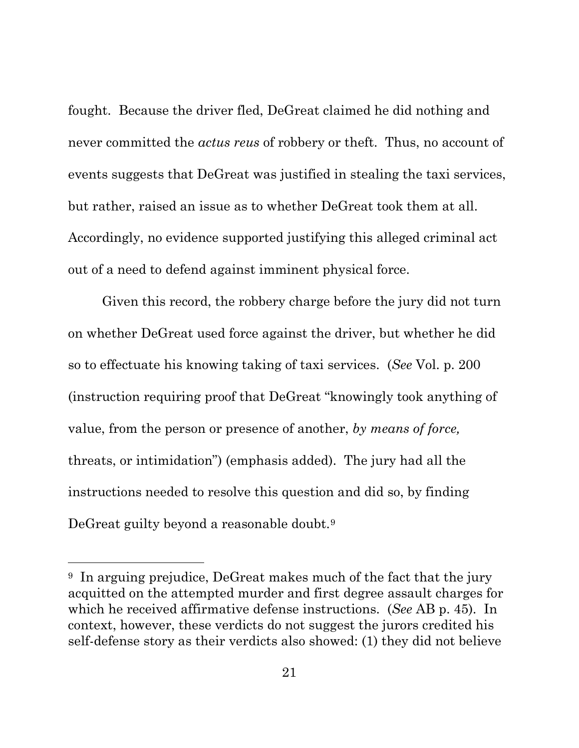fought. Because the driver fled, DeGreat claimed he did nothing and never committed the *actus reus* of robbery or theft. Thus, no account of events suggests that DeGreat was justified in stealing the taxi services, but rather, raised an issue as to whether DeGreat took them at all. Accordingly, no evidence supported justifying this alleged criminal act out of a need to defend against imminent physical force.

Given this record, the robbery charge before the jury did not turn on whether DeGreat used force against the driver, but whether he did so to effectuate his knowing taking of taxi services. (*See* Vol. p. 200 (instruction requiring proof that DeGreat "knowingly took anything of value, from the person or presence of another, *by means of force,* threats, or intimidation") (emphasis added). The jury had all the instructions needed to resolve this question and did so, by finding DeGreat guilty beyond a reasonable doubt.[9](#page-25-0)

<span id="page-25-0"></span><sup>&</sup>lt;sup>9</sup> In arguing prejudice, DeGreat makes much of the fact that the jury acquitted on the attempted murder and first degree assault charges for which he received affirmative defense instructions. (*See* AB p. 45). In context, however, these verdicts do not suggest the jurors credited his self-defense story as their verdicts also showed: (1) they did not believe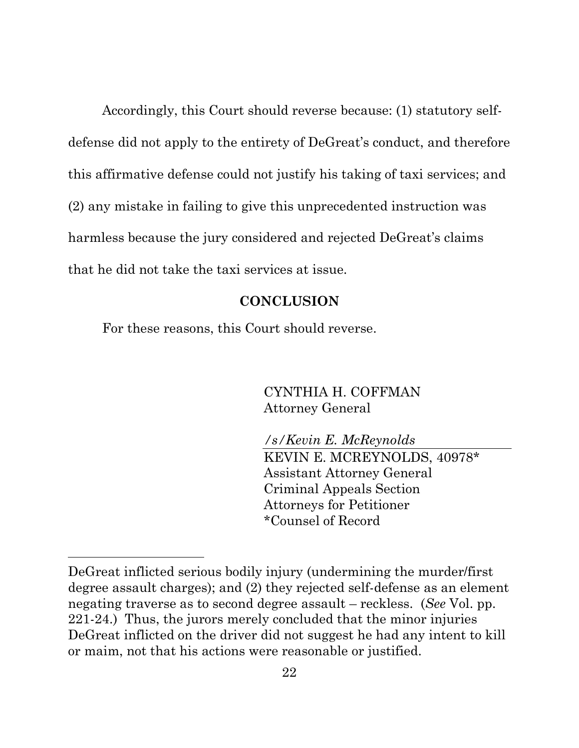Accordingly, this Court should reverse because: (1) statutory selfdefense did not apply to the entirety of DeGreat's conduct, and therefore this affirmative defense could not justify his taking of taxi services; and (2) any mistake in failing to give this unprecedented instruction was harmless because the jury considered and rejected DeGreat's claims that he did not take the taxi services at issue.

#### **CONCLUSION**

<span id="page-26-0"></span>For these reasons, this Court should reverse.

 $\overline{a}$ 

CYNTHIA H. COFFMAN Attorney General

*/s/Kevin E. McReynolds* KEVIN E. MCREYNOLDS, 40978\* Assistant Attorney General Criminal Appeals Section Attorneys for Petitioner \*Counsel of Record

DeGreat inflicted serious bodily injury (undermining the murder/first degree assault charges); and (2) they rejected self-defense as an element negating traverse as to second degree assault – reckless. (*See* Vol. pp. 221-24.) Thus, the jurors merely concluded that the minor injuries DeGreat inflicted on the driver did not suggest he had any intent to kill or maim, not that his actions were reasonable or justified.